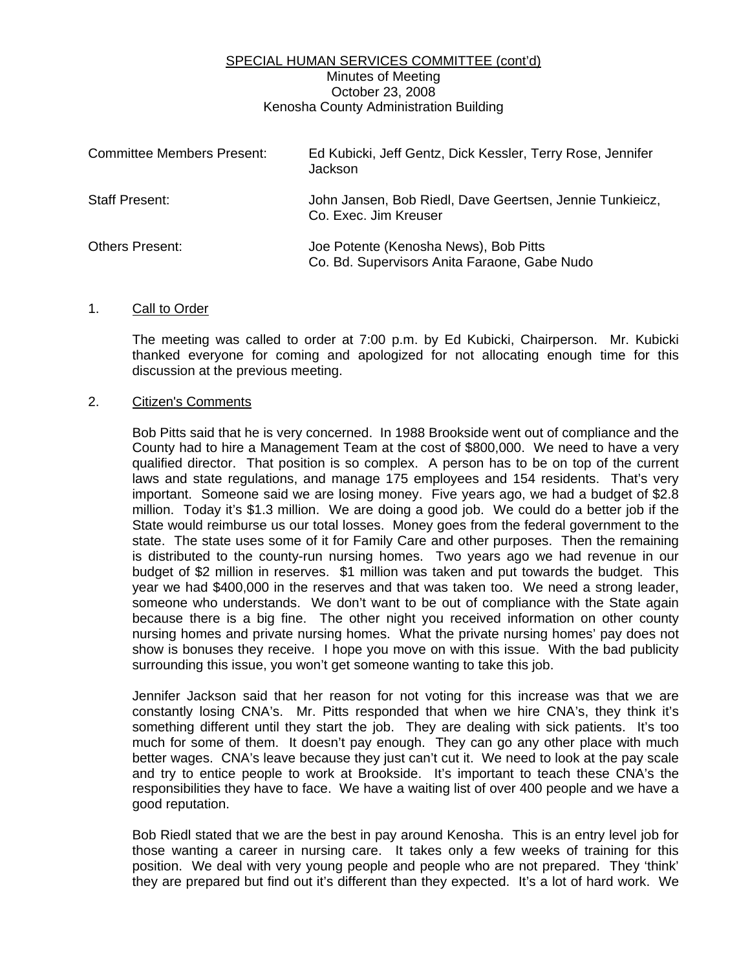# SPECIAL HUMAN SERVICES COMMITTEE (cont'd) Minutes of Meeting October 23, 2008 Kenosha County Administration Building

| <b>Committee Members Present:</b> | Ed Kubicki, Jeff Gentz, Dick Kessler, Terry Rose, Jennifer<br>Jackson                 |
|-----------------------------------|---------------------------------------------------------------------------------------|
| Staff Present:                    | John Jansen, Bob Riedl, Dave Geertsen, Jennie Tunkieicz,<br>Co. Exec. Jim Kreuser     |
| <b>Others Present:</b>            | Joe Potente (Kenosha News), Bob Pitts<br>Co. Bd. Supervisors Anita Faraone, Gabe Nudo |

### 1. Call to Order

 The meeting was called to order at 7:00 p.m. by Ed Kubicki, Chairperson. Mr. Kubicki thanked everyone for coming and apologized for not allocating enough time for this discussion at the previous meeting.

### 2. Citizen's Comments

 Bob Pitts said that he is very concerned. In 1988 Brookside went out of compliance and the County had to hire a Management Team at the cost of \$800,000. We need to have a very qualified director. That position is so complex. A person has to be on top of the current laws and state regulations, and manage 175 employees and 154 residents. That's very important. Someone said we are losing money. Five years ago, we had a budget of \$2.8 million. Today it's \$1.3 million. We are doing a good job. We could do a better job if the State would reimburse us our total losses. Money goes from the federal government to the state. The state uses some of it for Family Care and other purposes. Then the remaining is distributed to the county-run nursing homes. Two years ago we had revenue in our budget of \$2 million in reserves. \$1 million was taken and put towards the budget. This year we had \$400,000 in the reserves and that was taken too. We need a strong leader, someone who understands. We don't want to be out of compliance with the State again because there is a big fine. The other night you received information on other county nursing homes and private nursing homes. What the private nursing homes' pay does not show is bonuses they receive. I hope you move on with this issue. With the bad publicity surrounding this issue, you won't get someone wanting to take this job.

 Jennifer Jackson said that her reason for not voting for this increase was that we are constantly losing CNA's. Mr. Pitts responded that when we hire CNA's, they think it's something different until they start the job. They are dealing with sick patients. It's too much for some of them. It doesn't pay enough. They can go any other place with much better wages. CNA's leave because they just can't cut it. We need to look at the pay scale and try to entice people to work at Brookside. It's important to teach these CNA's the responsibilities they have to face. We have a waiting list of over 400 people and we have a good reputation.

 Bob Riedl stated that we are the best in pay around Kenosha. This is an entry level job for those wanting a career in nursing care. It takes only a few weeks of training for this position. We deal with very young people and people who are not prepared. They 'think' they are prepared but find out it's different than they expected. It's a lot of hard work. We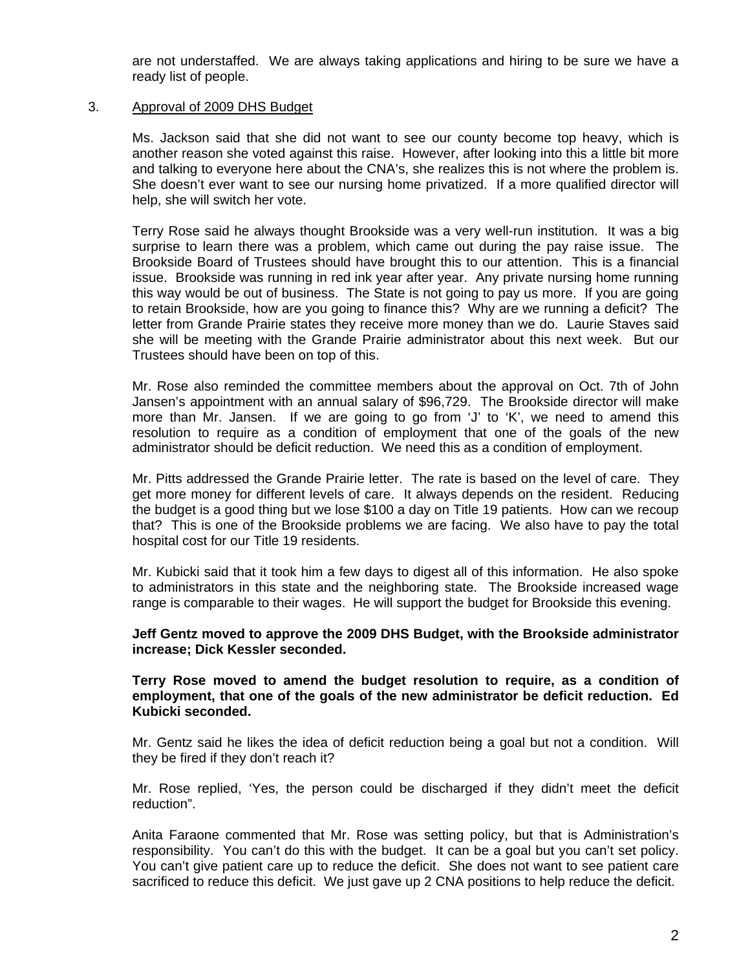are not understaffed. We are always taking applications and hiring to be sure we have a ready list of people.

## 3. Approval of 2009 DHS Budget

 Ms. Jackson said that she did not want to see our county become top heavy, which is another reason she voted against this raise. However, after looking into this a little bit more and talking to everyone here about the CNA's, she realizes this is not where the problem is. She doesn't ever want to see our nursing home privatized. If a more qualified director will help, she will switch her vote.

 Terry Rose said he always thought Brookside was a very well-run institution. It was a big surprise to learn there was a problem, which came out during the pay raise issue. The Brookside Board of Trustees should have brought this to our attention. This is a financial issue. Brookside was running in red ink year after year. Any private nursing home running this way would be out of business. The State is not going to pay us more. If you are going to retain Brookside, how are you going to finance this? Why are we running a deficit? The letter from Grande Prairie states they receive more money than we do. Laurie Staves said she will be meeting with the Grande Prairie administrator about this next week. But our Trustees should have been on top of this.

 Mr. Rose also reminded the committee members about the approval on Oct. 7th of John Jansen's appointment with an annual salary of \$96,729. The Brookside director will make more than Mr. Jansen. If we are going to go from 'J' to 'K', we need to amend this resolution to require as a condition of employment that one of the goals of the new administrator should be deficit reduction. We need this as a condition of employment.

 Mr. Pitts addressed the Grande Prairie letter. The rate is based on the level of care. They get more money for different levels of care. It always depends on the resident. Reducing the budget is a good thing but we lose \$100 a day on Title 19 patients. How can we recoup that? This is one of the Brookside problems we are facing. We also have to pay the total hospital cost for our Title 19 residents.

 Mr. Kubicki said that it took him a few days to digest all of this information. He also spoke to administrators in this state and the neighboring state. The Brookside increased wage range is comparable to their wages. He will support the budget for Brookside this evening.

### **Jeff Gentz moved to approve the 2009 DHS Budget, with the Brookside administrator increase; Dick Kessler seconded.**

 **Terry Rose moved to amend the budget resolution to require, as a condition of employment, that one of the goals of the new administrator be deficit reduction. Ed Kubicki seconded.** 

 Mr. Gentz said he likes the idea of deficit reduction being a goal but not a condition. Will they be fired if they don't reach it?

 Mr. Rose replied, 'Yes, the person could be discharged if they didn't meet the deficit reduction".

 Anita Faraone commented that Mr. Rose was setting policy, but that is Administration's responsibility. You can't do this with the budget. It can be a goal but you can't set policy. You can't give patient care up to reduce the deficit. She does not want to see patient care sacrificed to reduce this deficit. We just gave up 2 CNA positions to help reduce the deficit.